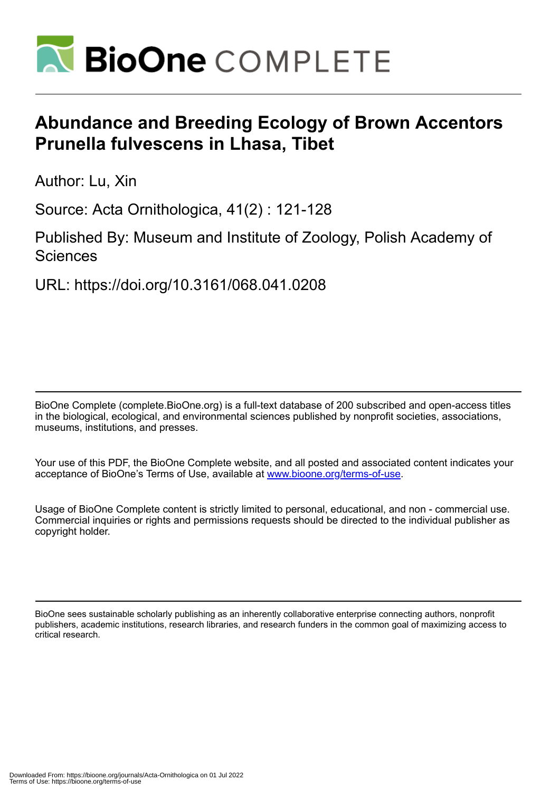

# **Abundance and Breeding Ecology of Brown Accentors Prunella fulvescens in Lhasa, Tibet**

Author: Lu, Xin

Source: Acta Ornithologica, 41(2) : 121-128

Published By: Museum and Institute of Zoology, Polish Academy of **Sciences** 

URL: https://doi.org/10.3161/068.041.0208

BioOne Complete (complete.BioOne.org) is a full-text database of 200 subscribed and open-access titles in the biological, ecological, and environmental sciences published by nonprofit societies, associations, museums, institutions, and presses.

Your use of this PDF, the BioOne Complete website, and all posted and associated content indicates your acceptance of BioOne's Terms of Use, available at www.bioone.org/terms-of-use.

Usage of BioOne Complete content is strictly limited to personal, educational, and non - commercial use. Commercial inquiries or rights and permissions requests should be directed to the individual publisher as copyright holder.

BioOne sees sustainable scholarly publishing as an inherently collaborative enterprise connecting authors, nonprofit publishers, academic institutions, research libraries, and research funders in the common goal of maximizing access to critical research.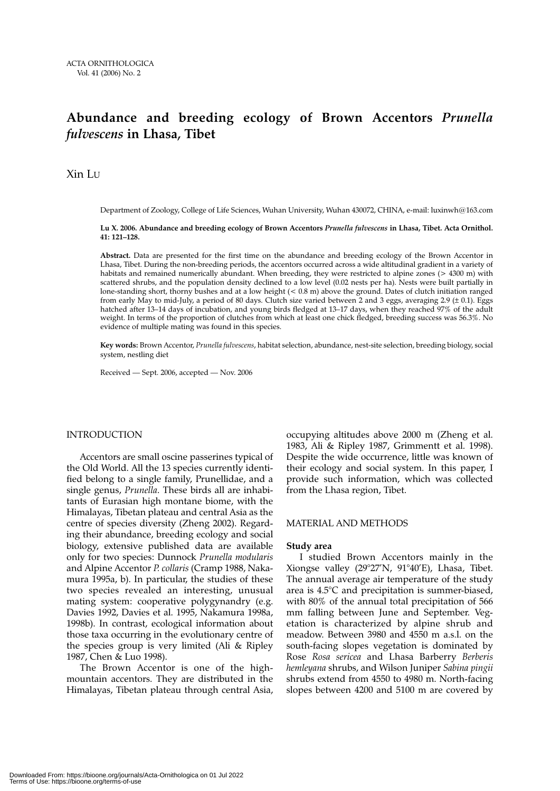# **Abundance and breeding ecology of Brown Accentors** *Prunella fulvescens* **in Lhasa, Tibet**

Xin LU

Department of Zoology, College of Life Sciences, Wuhan University, Wuhan 430072, CHINA, e-mail: luxinwh@163.com

**Lu X. 2006. Abundance and breeding ecology of Brown Accentors** *Prunella fulvescens* **in Lhasa, Tibet. Acta Ornithol. 41: 121–128.**

**Abstract.** Data are presented for the first time on the abundance and breeding ecology of the Brown Accentor in Lhasa, Tibet. During the non-breeding periods, the accentors occurred across a wide altitudinal gradient in a variety of habitats and remained numerically abundant. When breeding, they were restricted to alpine zones (> 4300 m) with scattered shrubs, and the population density declined to a low level (0.02 nests per ha). Nests were built partially in lone-standing short, thorny bushes and at a low height (< 0.8 m) above the ground. Dates of clutch initiation ranged from early May to mid-July, a period of 80 days. Clutch size varied between 2 and 3 eggs, averaging 2.9  $(\pm 0.1)$ . Eggs hatched after 13–14 days of incubation, and young birds fledged at 13–17 days, when they reached 97% of the adult weight. In terms of the proportion of clutches from which at least one chick fledged, breeding success was 56.3%. No evidence of multiple mating was found in this species.

**Key words:** Brown Accentor, *Prunella fulvescens*, habitat selection, abundance, nest-site selection, breeding biology, social system, nestling diet

Received — Sept. 2006, accepted — Nov. 2006

# INTRODUCTION

Accentors are small oscine passerines typical of the Old World. All the 13 species currently identified belong to a single family, Prunellidae, and a single genus, *Prunella*. These birds all are inhabitants of Eurasian high montane biome, with the Himalayas, Tibetan plateau and central Asia as the centre of species diversity (Zheng 2002). Regarding their abundance, breeding ecology and social biology, extensive published data are available only for two species: Dunnock *Prunella modularis* and Alpine Accentor *P. collaris* (Cramp 1988, Nakamura 1995a, b). In particular, the studies of these two species revealed an interesting, unusual mating system: cooperative polygynandry (e.g. Davies 1992, Davies et al. 1995, Nakamura 1998a, 1998b). In contrast, ecological information about those taxa occurring in the evolutionary centre of the species group is very limited (Ali & Ripley 1987, Chen & Luo 1998).

The Brown Accentor is one of the highmountain accentors. They are distributed in the Himalayas, Tibetan plateau through central Asia, occupying altitudes above 2000 m (Zheng et al. 1983, Ali & Ripley 1987, Grimmentt et al. 1998). Despite the wide occurrence, little was known of their ecology and social system. In this paper, I provide such information, which was collected from the Lhasa region, Tibet.

# MATERIAL AND METHODS

# **Study area**

I studied Brown Accentors mainly in the Xiongse valley (29°27'N, 91°40'E), Lhasa, Tibet. The annual average air temperature of the study area is 4.5°C and precipitation is summer-biased, with 80% of the annual total precipitation of 566 mm falling between June and September. Vegetation is characterized by alpine shrub and meadow. Between 3980 and 4550 m a.s.l. on the south-facing slopes vegetation is dominated by Rose *Rosa sericea* and Lhasa Barberry *Berberis hemleyana* shrubs, and Wilson Juniper *Sabina pingii* shrubs extend from 4550 to 4980 m. North-facing slopes between 4200 and 5100 m are covered by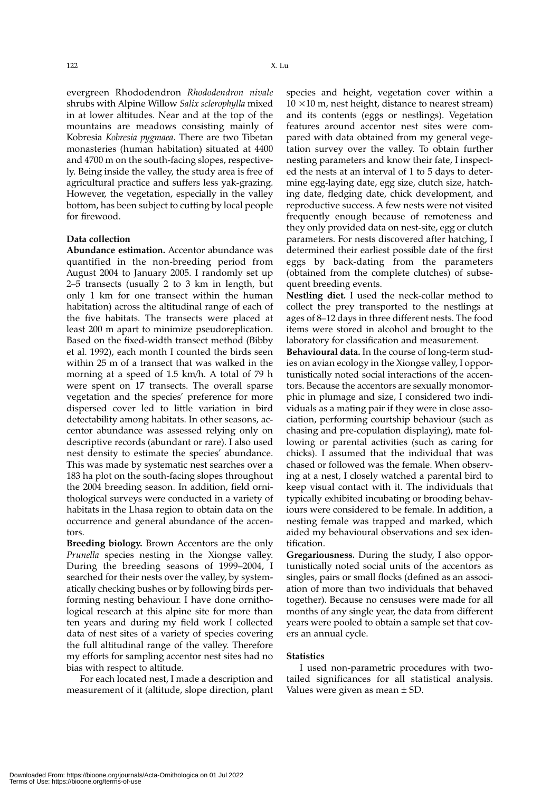evergreen Rhododendron *Rhododendron nivale* shrubs with Alpine Willow *Salix sclerophylla* mixed in at lower altitudes. Near and at the top of the mountains are meadows consisting mainly of Kobresia *Kobresia pygmaea*. There are two Tibetan monasteries (human habitation) situated at 4400 and 4700 m on the south-facing slopes, respectively. Being inside the valley, the study area is free of agricultural practice and suffers less yak-grazing. However, the vegetation, especially in the valley bottom, has been subject to cutting by local people for firewood.

#### **Data collection**

**Abundance estimation.** Accentor abundance was quantified in the non-breeding period from August 2004 to January 2005. I randomly set up 2–5 transects (usually 2 to 3 km in length, but only 1 km for one transect within the human habitation) across the altitudinal range of each of the five habitats. The transects were placed at least 200 m apart to minimize pseudoreplication. Based on the fixed-width transect method (Bibby et al. 1992), each month I counted the birds seen within 25 m of a transect that was walked in the morning at a speed of 1.5 km/h. A total of 79 h were spent on 17 transects. The overall sparse vegetation and the species' preference for more dispersed cover led to little variation in bird detectability among habitats. In other seasons, accentor abundance was assessed relying only on descriptive records (abundant or rare). I also used nest density to estimate the species' abundance. This was made by systematic nest searches over a 183 ha plot on the south-facing slopes throughout the 2004 breeding season. In addition, field ornithological surveys were conducted in a variety of habitats in the Lhasa region to obtain data on the occurrence and general abundance of the accentors.

**Breeding biology.** Brown Accentors are the only *Prunella* species nesting in the Xiongse valley. During the breeding seasons of 1999–2004, I searched for their nests over the valley, by systematically checking bushes or by following birds performing nesting behaviour. I have done ornithological research at this alpine site for more than ten years and during my field work I collected data of nest sites of a variety of species covering the full altitudinal range of the valley. Therefore my efforts for sampling accentor nest sites had no bias with respect to altitude.

For each located nest, I made a description and measurement of it (altitude, slope direction, plant species and height, vegetation cover within a  $10 \times 10$  m, nest height, distance to nearest stream) and its contents (eggs or nestlings). Vegetation features around accentor nest sites were compared with data obtained from my general vegetation survey over the valley. To obtain further nesting parameters and know their fate, I inspected the nests at an interval of 1 to 5 days to determine egg-laying date, egg size, clutch size, hatching date, fledging date, chick development, and reproductive success. A few nests were not visited frequently enough because of remoteness and they only provided data on nest-site, egg or clutch parameters. For nests discovered after hatching, I determined their earliest possible date of the first eggs by back-dating from the parameters (obtained from the complete clutches) of subsequent breeding events.

**Nestling diet.** I used the neck-collar method to collect the prey transported to the nestlings at ages of 8–12 days in three different nests. The food items were stored in alcohol and brought to the laboratory for classification and measurement.

**Behavioural data.** In the course of long-term studies on avian ecology in the Xiongse valley, I opportunistically noted social interactions of the accentors. Because the accentors are sexually monomorphic in plumage and size, I considered two individuals as a mating pair if they were in close association, performing courtship behaviour (such as chasing and pre-copulation displaying), mate following or parental activities (such as caring for chicks). I assumed that the individual that was chased or followed was the female. When observing at a nest, I closely watched a parental bird to keep visual contact with it. The individuals that typically exhibited incubating or brooding behaviours were considered to be female. In addition, a nesting female was trapped and marked, which aided my behavioural observations and sex identification.

**Gregariousness.** During the study, I also opportunistically noted social units of the accentors as singles, pairs or small flocks (defined as an association of more than two individuals that behaved together). Because no censuses were made for all months of any single year, the data from different years were pooled to obtain a sample set that covers an annual cycle.

#### **Statistics**

I used non-parametric procedures with twotailed significances for all statistical analysis. Values were given as mean ± SD.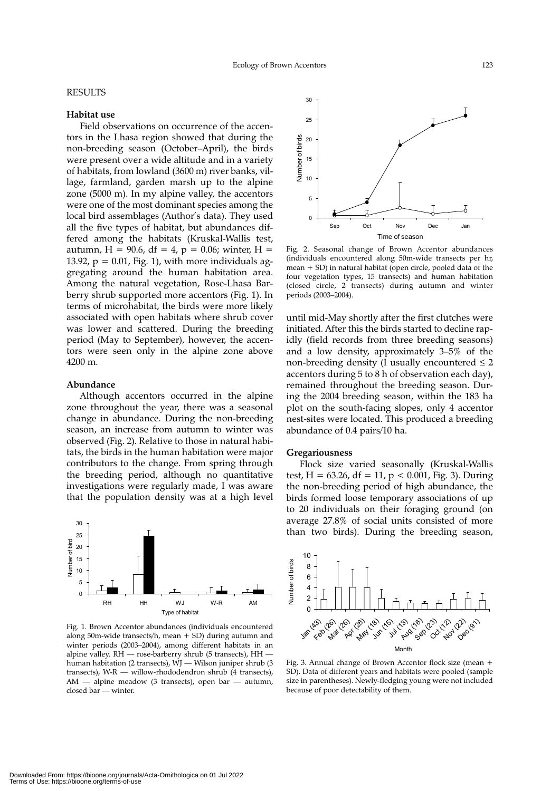# RESULTS

# **Habitat use**

Field observations on occurrence of the accentors in the Lhasa region showed that during the non-breeding season (October–April), the birds were present over a wide altitude and in a variety of habitats, from lowland (3600 m) river banks, village, farmland, garden marsh up to the alpine zone (5000 m). In my alpine valley, the accentors were one of the most dominant species among the local bird assemblages (Author's data). They used all the five types of habitat, but abundances differed among the habitats (Kruskal-Wallis test, autumn, H = 90.6, df = 4, p = 0.06; winter, H = 13.92,  $p = 0.01$ , Fig. 1), with more individuals aggregating around the human habitation area. Among the natural vegetation, Rose-Lhasa Barberry shrub supported more accentors (Fig. 1). In terms of microhabitat, the birds were more likely associated with open habitats where shrub cover was lower and scattered. During the breeding period (May to September), however, the accentors were seen only in the alpine zone above 4200 m.

# **Abundance**

Although accentors occurred in the alpine zone throughout the year, there was a seasonal change in abundance. During the non-breeding season, an increase from autumn to winter was observed (Fig. 2). Relative to those in natural habitats, the birds in the human habitation were major contributors to the change. From spring through the breeding period, although no quantitative investigations were regularly made, I was aware that the population density was at a high level



Fig. 1. Brown Accentor abundances (individuals encountered along 50m-wide transects/h, mean + SD) during autumn and winter periods (2003–2004), among different habitats in an alpine valley. RH — rose-barberry shrub (5 transects), HH human habitation (2 transects), WJ — Wilson juniper shrub (3 transects), W-R — willow-rhododendron shrub (4 transects), AM — alpine meadow (3 transects), open bar — autumn, closed bar — winter.



Fig. 2. Seasonal change of Brown Accentor abundances (individuals encountered along 50m-wide transects per hr, mean + SD) in natural habitat (open circle, pooled data of the four vegetation types, 15 transects) and human habitation (closed circle, 2 transects) during autumn and winter periods (2003–2004).

until mid-May shortly after the first clutches were initiated. After this the birds started to decline rapidly (field records from three breeding seasons) and a low density, approximately 3–5% of the non-breeding density (I usually encountered  $\leq 2$ accentors during 5 to 8 h of observation each day), remained throughout the breeding season. During the 2004 breeding season, within the 183 ha plot on the south-facing slopes, only 4 accentor nest-sites were located. This produced a breeding abundance of 0.4 pairs/10 ha.

#### **Gregariousness**

Flock size varied seasonally (Kruskal-Wallis test,  $H = 63.26$ , df = 11, p < 0.001, Fig. 3). During the non-breeding period of high abundance, the birds formed loose temporary associations of up to 20 individuals on their foraging ground (on average 27.8% of social units consisted of more than two birds). During the breeding season,



Fig. 3. Annual change of Brown Accentor flock size (mean + SD). Data of different years and habitats were pooled (sample size in parentheses). Newly-fledging young were not included because of poor detectability of them.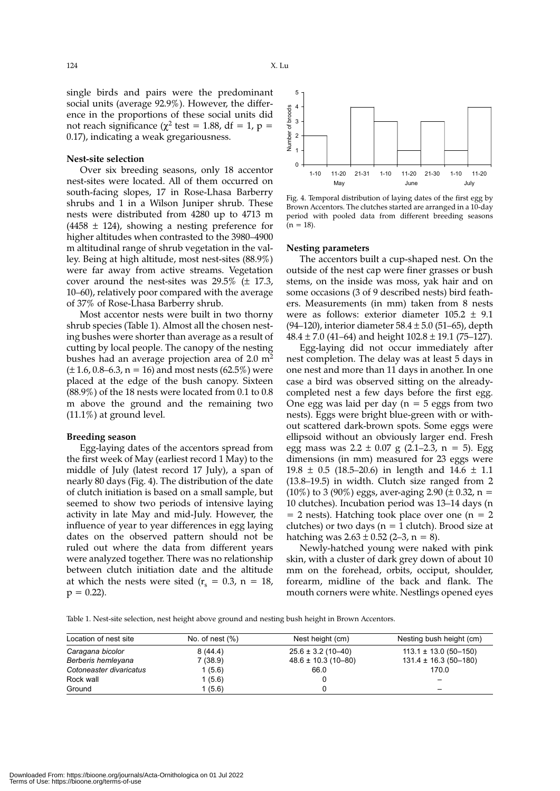single birds and pairs were the predominant social units (average 92.9%). However, the difference in the proportions of these social units did not reach significance ( $\chi^2$  test = 1.88, df = 1, p = 0.17), indicating a weak gregariousness.

#### **Nest-site selection**

Over six breeding seasons, only 18 accentor nest-sites were located. All of them occurred on south-facing slopes, 17 in Rose-Lhasa Barberry shrubs and 1 in a Wilson Juniper shrub. These nests were distributed from 4280 up to 4713 m  $(4458 \pm 124)$ , showing a nesting preference for higher altitudes when contrasted to the 3980–4900 m altitudinal range of shrub vegetation in the valley. Being at high altitude, most nest-sites (88.9%) were far away from active streams. Vegetation cover around the nest-sites was  $29.5\%$  ( $\pm$  17.3, 10–60), relatively poor compared with the average of 37% of Rose-Lhasa Barberry shrub.

Most accentor nests were built in two thorny shrub species (Table 1). Almost all the chosen nesting bushes were shorter than average as a result of cutting by local people. The canopy of the nesting bushes had an average projection area of  $2.0 \text{ m}^2$  $(\pm 1.6, 0.8 - 6.3, n = 16)$  and most nests (62.5%) were placed at the edge of the bush canopy. Sixteen  $(88.9\%)$  of the 18 nests were located from 0.1 to 0.8 m above the ground and the remaining two (11.1%) at ground level.

#### **Breeding season**

Egg-laying dates of the accentors spread from the first week of May (earliest record 1 May) to the middle of July (latest record 17 July), a span of nearly 80 days (Fig. 4). The distribution of the date of clutch initiation is based on a small sample, but seemed to show two periods of intensive laying activity in late May and mid-July. However, the influence of year to year differences in egg laying dates on the observed pattern should not be ruled out where the data from different years were analyzed together. There was no relationship between clutch initiation date and the altitude at which the nests were sited ( $r_s = 0.3$ ,  $n = 18$ ,  $p = 0.22$ ).



Fig. 4. Temporal distribution of laying dates of the first egg by Brown Accentors. The clutches started are arranged in a 10-day period with pooled data from different breeding seasons  $(n = 18)$ .

#### **Nesting parameters**

The accentors built a cup-shaped nest. On the outside of the nest cap were finer grasses or bush stems, on the inside was moss, yak hair and on some occasions (3 of 9 described nests) bird feathers. Measurements (in mm) taken from 8 nests were as follows: exterior diameter 105.2 ± 9.1 (94–120), interior diameter  $58.4 \pm 5.0$  (51–65), depth  $48.4 \pm 7.0$  (41–64) and height  $102.8 \pm 19.1$  (75–127).

Egg-laying did not occur immediately after nest completion. The delay was at least 5 days in one nest and more than 11 days in another. In one case a bird was observed sitting on the alreadycompleted nest a few days before the first egg. One egg was laid per day ( $n = 5$  eggs from two nests). Eggs were bright blue-green with or without scattered dark-brown spots. Some eggs were ellipsoid without an obviously larger end. Fresh egg mass was  $2.2 \pm 0.07$  g (2.1–2.3, n = 5). Egg dimensions (in mm) measured for 23 eggs were 19.8  $\pm$  0.5 (18.5–20.6) in length and 14.6  $\pm$  1.1 (13.8–19.5) in width. Clutch size ranged from 2 (10%) to 3 (90%) eggs, aver-aging 2.90 ( $\pm$  0.32, n = 10 clutches). Incubation period was 13–14 days (n  $= 2$  nests). Hatching took place over one (n  $= 2$ clutches) or two days ( $n = 1$  clutch). Brood size at hatching was  $2.63 \pm 0.52$  (2–3, n = 8).

Newly-hatched young were naked with pink skin, with a cluster of dark grey down of about 10 mm on the forehead, orbits, occiput, shoulder, forearm, midline of the back and flank. The mouth corners were white. Nestlings opened eyes

Table 1. Nest-site selection, nest height above ground and nesting bush height in Brown Accentors.

| Location of nest site   | No. of nest $(\%)$ | Nest height (cm)        | Nesting bush height (cm)   |
|-------------------------|--------------------|-------------------------|----------------------------|
| Caragana bicolor        | 8(44.4)            | $25.6 \pm 3.2$ (10-40)  | $113.1 \pm 13.0$ (50-150)  |
| Berberis hemleyana      | 7(38.9)            | $48.6 \pm 10.3$ (10-80) | $131.4 \pm 16.3(50 - 180)$ |
| Cotoneaster divaricatus | 1(5.6)             | 66.0                    | 170.0                      |
| Rock wall               | 1 (5.6)            |                         |                            |
| Ground                  | 1(5.6)             |                         |                            |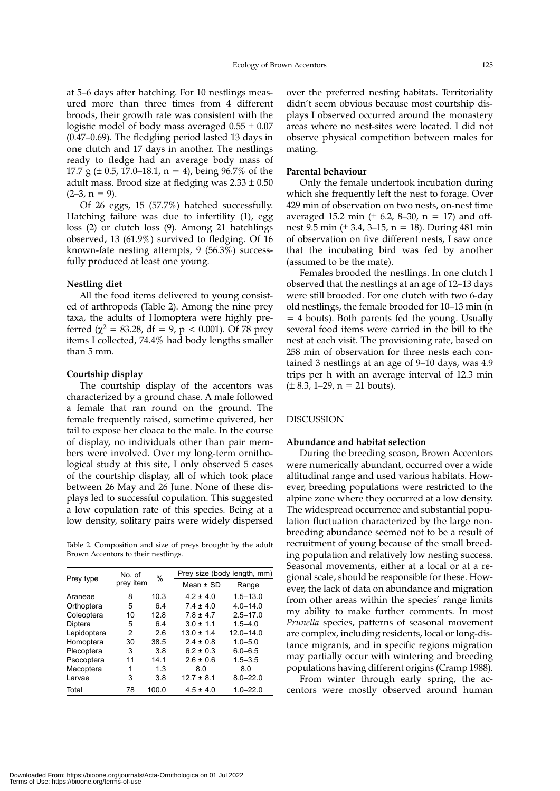at 5–6 days after hatching. For 10 nestlings measured more than three times from 4 different broods, their growth rate was consistent with the logistic model of body mass averaged  $0.55 \pm 0.07$ (0.47–0.69). The fledgling period lasted 13 days in one clutch and 17 days in another. The nestlings ready to fledge had an average body mass of 17.7 g ( $\pm$  0.5, 17.0–18.1, n = 4), being 96.7% of the adult mass. Brood size at fledging was  $2.33 \pm 0.50$  $(2-3, n = 9)$ .

Of 26 eggs, 15 (57.7%) hatched successfully. Hatching failure was due to infertility (1), egg loss (2) or clutch loss (9). Among 21 hatchlings observed, 13 (61.9%) survived to fledging. Of 16 known-fate nesting attempts, 9 (56.3%) successfully produced at least one young.

# **Nestling diet**

All the food items delivered to young consisted of arthropods (Table 2). Among the nine prey taxa, the adults of Homoptera were highly preferred ( $\chi^2$  = 83.28, df = 9, p < 0.001). Of 78 prey items I collected, 74.4% had body lengths smaller than 5 mm.

# **Courtship display**

The courtship display of the accentors was characterized by a ground chase. A male followed a female that ran round on the ground. The female frequently raised, sometime quivered, her tail to expose her cloaca to the male. In the course of display, no individuals other than pair members were involved. Over my long-term ornithological study at this site, I only observed 5 cases of the courtship display, all of which took place between 26 May and 26 June. None of these displays led to successful copulation. This suggested a low copulation rate of this species. Being at a low density, solitary pairs were widely dispersed

Table 2. Composition and size of preys brought by the adult Brown Accentors to their nestlings.

| Prey type   | No. of    | %     | Prey size (body length, mm) |               |  |  |
|-------------|-----------|-------|-----------------------------|---------------|--|--|
|             | prey item |       | Mean $\pm$ SD               | Range         |  |  |
| Araneae     | 8         | 10.3  | $4.2 \pm 4.0$               | $1.5 - 13.0$  |  |  |
| Orthoptera  | 5         | 64    | $74 + 40$                   | $4.0 - 14.0$  |  |  |
| Coleoptera  | 10        | 12.8  | $7.8 \pm 4.7$               | $2.5 - 17.0$  |  |  |
| Diptera     | 5         | 64    | $3.0 \pm 1.1$               | $1.5 - 4.0$   |  |  |
| Lepidoptera | 2         | 2.6   | $13.0 \pm 1.4$              | $12.0 - 14.0$ |  |  |
| Homoptera   | 30        | 38.5  | $2.4 \pm 0.8$               | $1.0 - 5.0$   |  |  |
| Plecoptera  | 3         | 3.8   | $6.2 \pm 0.3$               | $6.0 - 6.5$   |  |  |
| Psocoptera  | 11        | 14.1  | $2.6 \pm 0.6$               | $1.5 - 3.5$   |  |  |
| Mecoptera   | 1         | 1.3   | 8.0                         | 8.0           |  |  |
| Larvae      | 3         | 3.8   | $12.7 \pm 8.1$              | $8.0 - 22.0$  |  |  |
| Total       | 78        | 100.0 | $4.5 \pm 4.0$               | $1.0 - 22.0$  |  |  |

over the preferred nesting habitats. Territoriality didn't seem obvious because most courtship displays I observed occurred around the monastery areas where no nest-sites were located. I did not observe physical competition between males for mating.

# **Parental behaviour**

Only the female undertook incubation during which she frequently left the nest to forage. Over 429 min of observation on two nests, on-nest time averaged 15.2 min ( $\pm$  6.2, 8–30, n = 17) and offnest 9.5 min ( $\pm$  3.4, 3–15, n = 18). During 481 min of observation on five different nests, I saw once that the incubating bird was fed by another (assumed to be the mate).

Females brooded the nestlings. In one clutch I observed that the nestlings at an age of 12–13 days were still brooded. For one clutch with two 6-day old nestlings, the female brooded for 10–13 min (n = 4 bouts). Both parents fed the young. Usually several food items were carried in the bill to the nest at each visit. The provisioning rate, based on 258 min of observation for three nests each contained 3 nestlings at an age of 9–10 days, was 4.9 trips per h with an average interval of 12.3 min  $(\pm 8.3, 1-29, n = 21$  bouts).

# DISCUSSION

# **Abundance and habitat selection**

During the breeding season, Brown Accentors were numerically abundant, occurred over a wide altitudinal range and used various habitats. However, breeding populations were restricted to the alpine zone where they occurred at a low density. The widespread occurrence and substantial population fluctuation characterized by the large nonbreeding abundance seemed not to be a result of recruitment of young because of the small breeding population and relatively low nesting success. Seasonal movements, either at a local or at a regional scale, should be responsible for these. However, the lack of data on abundance and migration from other areas within the species' range limits my ability to make further comments. In most *Prunella* species, patterns of seasonal movement are complex, including residents, local or long-distance migrants, and in specific regions migration may partially occur with wintering and breeding populations having different origins (Cramp 1988).

From winter through early spring, the accentors were mostly observed around human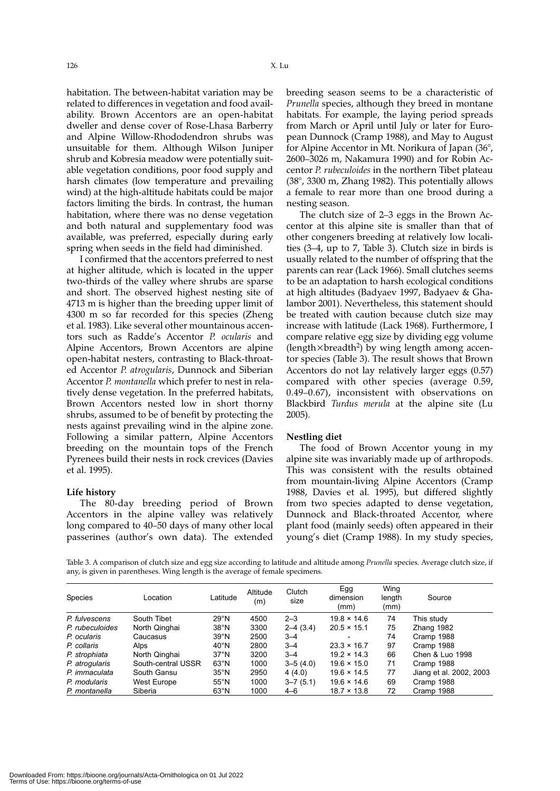126 X. Lu

habitation. The between-habitat variation may be related to differences in vegetation and food availability. Brown Accentors are an open-habitat dweller and dense cover of Rose-Lhasa Barberry and Alpine Willow-Rhododendron shrubs was unsuitable for them. Although Wilson Juniper shrub and Kobresia meadow were potentially suitable vegetation conditions, poor food supply and harsh climates (low temperature and prevailing wind) at the high-altitude habitats could be major factors limiting the birds. In contrast, the human habitation, where there was no dense vegetation and both natural and supplementary food was available, was preferred, especially during early spring when seeds in the field had diminished.

I confirmed that the accentors preferred to nest at higher altitude, which is located in the upper two-thirds of the valley where shrubs are sparse and short. The observed highest nesting site of 4713 m is higher than the breeding upper limit of 4300 m so far recorded for this species (Zheng et al. 1983). Like several other mountainous accentors such as Radde's Accentor *P. ocularis* and Alpine Accentors, Brown Accentors are alpine open-habitat nesters, contrasting to Black-throated Accentor *P. atrogularis*, Dunnock and Siberian Accentor *P. montanella* which prefer to nest in relatively dense vegetation. In the preferred habitats, Brown Accentors nested low in short thorny shrubs, assumed to be of benefit by protecting the nests against prevailing wind in the alpine zone. Following a similar pattern, Alpine Accentors breeding on the mountain tops of the French Pyrenees build their nests in rock crevices (Davies et al. 1995).

#### **Life history**

The 80-day breeding period of Brown Accentors in the alpine valley was relatively long compared to 40–50 days of many other local passerines (author's own data). The extended breeding season seems to be a characteristic of *Prunella* species, although they breed in montane habitats. For example, the laying period spreads from March or April until July or later for European Dunnock (Cramp 1988), and May to August for Alpine Accentor in Mt. Norikura of Japan (36°, 2600–3026 m, Nakamura 1990) and for Robin Accentor *P. rubeculoides* in the northern Tibet plateau (38°, 3300 m, Zhang 1982). This potentially allows a female to rear more than one brood during a nesting season.

The clutch size of 2–3 eggs in the Brown Accentor at this alpine site is smaller than that of other congeners breeding at relatively low localities (3–4, up to 7, Table 3). Clutch size in birds is usually related to the number of offspring that the parents can rear (Lack 1966). Small clutches seems to be an adaptation to harsh ecological conditions at high altitudes (Badyaev 1997, Badyaev & Ghalambor 2001). Nevertheless, this statement should be treated with caution because clutch size may increase with latitude (Lack 1968). Furthermore, I compare relative egg size by dividing egg volume (length $\times$ breadth<sup>2</sup>) by wing length among accentor species (Table 3). The result shows that Brown Accentors do not lay relatively larger eggs (0.57) compared with other species (average 0.59, 0.49–0.67), inconsistent with observations on Blackbird *Turdus merula* at the alpine site (Lu 2005).

#### **Nestling diet**

The food of Brown Accentor young in my alpine site was invariably made up of arthropods. This was consistent with the results obtained from mountain-living Alpine Accentors (Cramp 1988, Davies et al. 1995), but differed slightly from two species adapted to dense vegetation, Dunnock and Black-throated Accentor, where plant food (mainly seeds) often appeared in their young's diet (Cramp 1988). In my study species,

Table 3. A comparison of clutch size and egg size according to latitude and altitude among *Prunella* species. Average clutch size, if any, is given in parentheses. Wing length is the average of female specimens.

| <b>Species</b>  | Location           | Latitude       | Altitude<br>(m) | Clutch<br>size | Egg<br>dimension<br>(mm) | Wing<br>length<br>(mm) | Source                  |
|-----------------|--------------------|----------------|-----------------|----------------|--------------------------|------------------------|-------------------------|
| P. fulvescens   | South Tibet        | 29°N           | 4500            | $2 - 3$        | $19.8 \times 14.6$       | 74                     | This study              |
| P. rubeculoides | North Qinghai      | 38°N           | 3300            | $2-4(3.4)$     | $20.5 \times 15.1$       | 75                     | Zhang 1982              |
| P. ocularis     | Caucasus           | 39°N           | 2500            | $3 - 4$        | -                        | 74                     | Cramp 1988              |
| P. collaris     | Alps               | $40^{\circ}$ N | 2800            | $3 - 4$        | $23.3 \times 16.7$       | 97                     | Cramp 1988              |
| P. strophiata   | North Qinghai      | $37^\circ$ N   | 3200            | $3 - 4$        | $19.2 \times 14.3$       | 66                     | Chen & Luo 1998         |
| P. atrogularis  | South-central USSR | 63°N           | 1000            | $3 - 5(4.0)$   | $19.6 \times 15.0$       | 71                     | Cramp 1988              |
| P. immaculata   | South Gansu        | $35^{\circ}$ N | 2950            | 4(4.0)         | $19.6 \times 14.5$       | 77                     | Jiang et al. 2002, 2003 |
| P. modularis    | West Europe        | $55^{\circ}$ N | 1000            | $3 - 7(5.1)$   | $19.6 \times 14.6$       | 69                     | Cramp 1988              |
| P. montanella   | Siberia            | $63^{\circ}$ N | 1000            | $4 - 6$        | $18.7 \times 13.8$       | 72                     | Cramp 1988              |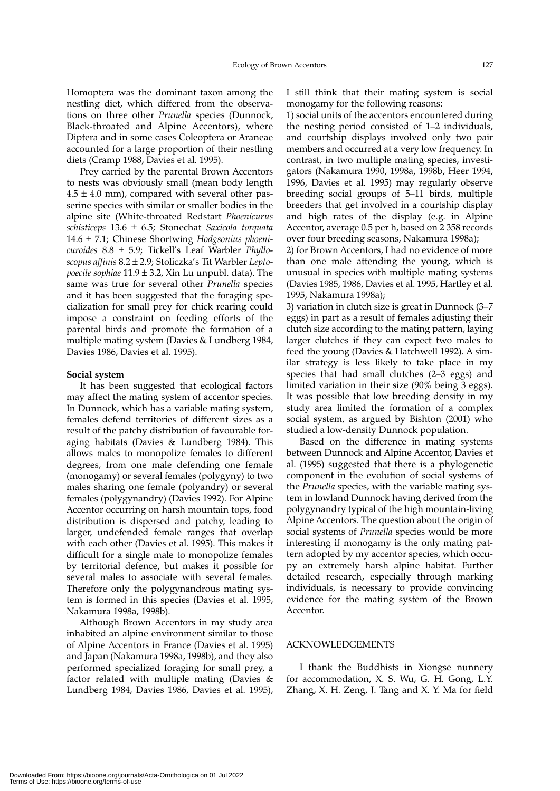Homoptera was the dominant taxon among the nestling diet, which differed from the observations on three other *Prunella* species (Dunnock, Black-throated and Alpine Accentors), where Diptera and in some cases Coleoptera or Araneae accounted for a large proportion of their nestling diets (Cramp 1988, Davies et al. 1995).

Prey carried by the parental Brown Accentors to nests was obviously small (mean body length  $4.5 \pm 4.0$  mm), compared with several other passerine species with similar or smaller bodies in the alpine site (White-throated Redstart *Phoenicurus schisticeps* 13.6 ± 6.5; Stonechat *Saxicola torquata* 14.6 ± 7.1; Chinese Shortwing *Hodgsonius phoenicuroides* 8.8 ± 5.9; Tickell's Leaf Warbler *Phylloscopus affinis* 8.2 ± 2.9; Stoliczka's Tit Warbler *Leptopoecile sophiae* 11.9 ± 3.2, Xin Lu unpubl. data). The same was true for several other *Prunella* species and it has been suggested that the foraging specialization for small prey for chick rearing could impose a constraint on feeding efforts of the parental birds and promote the formation of a multiple mating system (Davies & Lundberg 1984, Davies 1986, Davies et al. 1995).

#### **Social system**

It has been suggested that ecological factors may affect the mating system of accentor species. In Dunnock, which has a variable mating system, females defend territories of different sizes as a result of the patchy distribution of favourable foraging habitats (Davies & Lundberg 1984). This allows males to monopolize females to different degrees, from one male defending one female (monogamy) or several females (polygyny) to two males sharing one female (polyandry) or several females (polygynandry) (Davies 1992). For Alpine Accentor occurring on harsh mountain tops, food distribution is dispersed and patchy, leading to larger, undefended female ranges that overlap with each other (Davies et al. 1995). This makes it difficult for a single male to monopolize females by territorial defence, but makes it possible for several males to associate with several females. Therefore only the polygynandrous mating system is formed in this species (Davies et al. 1995, Nakamura 1998a, 1998b).

Although Brown Accentors in my study area inhabited an alpine environment similar to those of Alpine Accentors in France (Davies et al. 1995) and Japan (Nakamura 1998a, 1998b), and they also performed specialized foraging for small prey, a factor related with multiple mating (Davies & Lundberg 1984, Davies 1986, Davies et al. 1995), I still think that their mating system is social monogamy for the following reasons:

1) social units of the accentors encountered during the nesting period consisted of 1–2 individuals, and courtship displays involved only two pair members and occurred at a very low frequency. In contrast, in two multiple mating species, investigators (Nakamura 1990, 1998a, 1998b, Heer 1994, 1996, Davies et al. 1995) may regularly observe breeding social groups of 5–11 birds, multiple breeders that get involved in a courtship display and high rates of the display (e.g. in Alpine Accentor, average 0.5 per h, based on 2 358 records over four breeding seasons, Nakamura 1998a);

2) for Brown Accentors, I had no evidence of more than one male attending the young, which is unusual in species with multiple mating systems (Davies 1985, 1986, Davies et al. 1995, Hartley et al. 1995, Nakamura 1998a);

3) variation in clutch size is great in Dunnock (3–7 eggs) in part as a result of females adjusting their clutch size according to the mating pattern, laying larger clutches if they can expect two males to feed the young (Davies & Hatchwell 1992). A similar strategy is less likely to take place in my species that had small clutches (2–3 eggs) and limited variation in their size (90% being 3 eggs). It was possible that low breeding density in my study area limited the formation of a complex social system, as argued by Bishton (2001) who studied a low-density Dunnock population.

Based on the difference in mating systems between Dunnock and Alpine Accentor, Davies et al. (1995) suggested that there is a phylogenetic component in the evolution of social systems of the *Prunella* species, with the variable mating system in lowland Dunnock having derived from the polygynandry typical of the high mountain-living Alpine Accentors. The question about the origin of social systems of *Prunella* species would be more interesting if monogamy is the only mating pattern adopted by my accentor species, which occupy an extremely harsh alpine habitat. Further detailed research, especially through marking individuals, is necessary to provide convincing evidence for the mating system of the Brown Accentor.

# ACKNOWLEDGEMENTS

I thank the Buddhists in Xiongse nunnery for accommodation, X. S. Wu, G. H. Gong, L.Y. Zhang, X. H. Zeng, J. Tang and X. Y. Ma for field